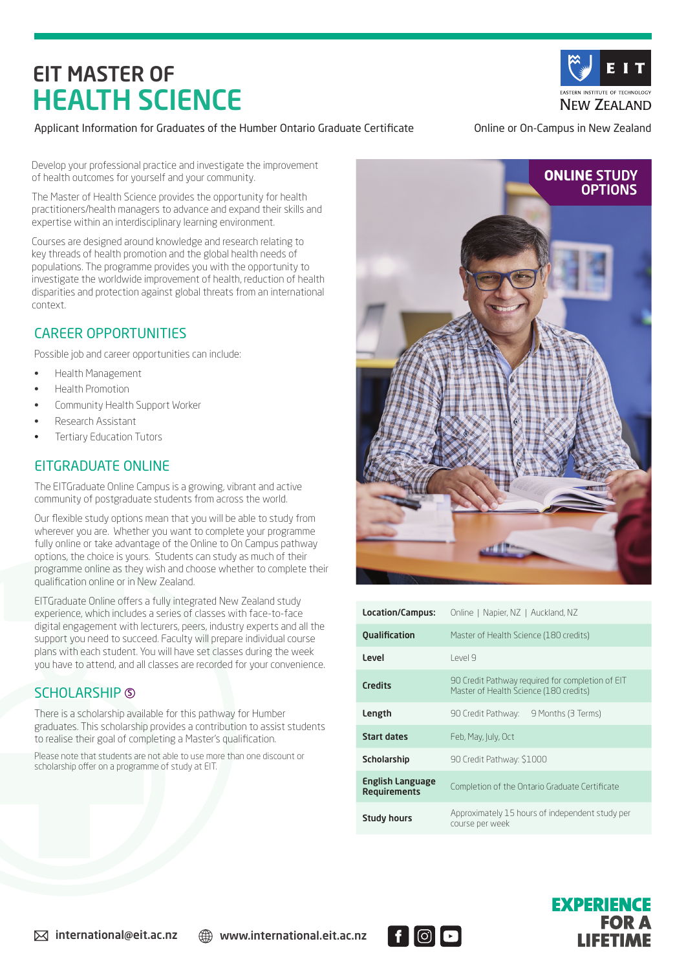# EIT MASTER OF HEALTH SCIENCE



#### Applicant Information for Graduates of the Humber Ontario Graduate Certificate **Online or On-Campus in New Zealand**

Develop your professional practice and investigate the improvement of health outcomes for yourself and your community.

The Master of Health Science provides the opportunity for health practitioners/health managers to advance and expand their skills and expertise within an interdisciplinary learning environment.

Courses are designed around knowledge and research relating to key threads of health promotion and the global health needs of populations. The programme provides you with the opportunity to investigate the worldwide improvement of health, reduction of health disparities and protection against global threats from an international context.

### CAREER OPPORTUNITIES

Possible job and career opportunities can include:

- Health Management
- Health Promotion
- Community Health Support Worker
- Research Assistant
- Tertiary Education Tutors

## EITGRADUATE ONLINE

The EITGraduate Online Campus is a growing, vibrant and active community of postgraduate students from across the world.

Our flexible study options mean that you will be able to study from wherever you are. Whether you want to complete your programme fully online or take advantage of the Online to On Campus pathway options, the choice is yours. Students can study as much of their programme online as they wish and choose whether to complete their qualification online or in New Zealand.

EITGraduate Online offers a fully integrated New Zealand study experience, which includes a series of classes with face-to-face digital engagement with lecturers, peers, industry experts and all the support you need to succeed. Faculty will prepare individual course plans with each student. You will have set classes during the week you have to attend, and all classes are recorded for your convenience.

## SCHOLARSHIP <sup>S</sup>

There is a scholarship available for this pathway for Humber graduates. This scholarship provides a contribution to assist students to realise their goal of completing a Master's qualification.

Please note that students are not able to use more than one discount or scholarship offer on a programme of study at EIT.



| Location/Campus:                               | Online   Napier, NZ   Auckland, NZ                                                         |
|------------------------------------------------|--------------------------------------------------------------------------------------------|
| <b>Qualification</b>                           | Master of Health Science (180 credits)                                                     |
| Level                                          | $P$ $P$                                                                                    |
| <b>Credits</b>                                 | 90 Credit Pathway reguired for completion of EIT<br>Master of Health Science (180 credits) |
| Length                                         | 90 Credit Pathway:<br>9 Months (3 Terms)                                                   |
| <b>Start dates</b>                             | Feb, May, July, Oct                                                                        |
| <b>Scholarship</b>                             | 90 Credit Pathway: \$1000                                                                  |
| <b>English Language</b><br><b>Requirements</b> | Completion of the Ontario Graduate Certificate                                             |
| <b>Study hours</b>                             | Approximately 15 hours of independent study per<br>course per week                         |



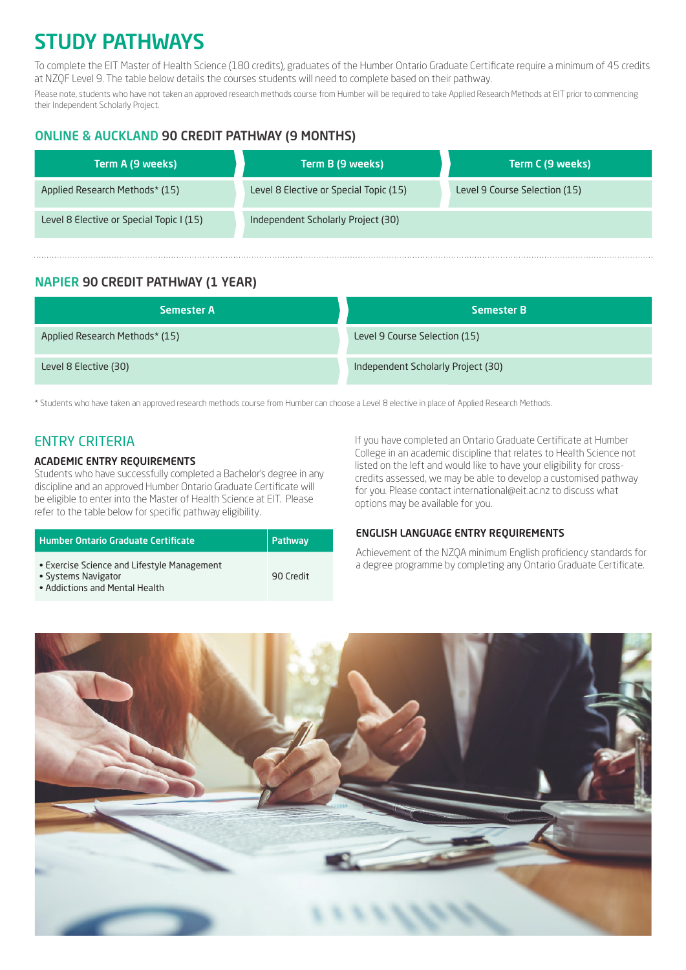## STUDY PATHWAYS

To complete the EIT Master of Health Science (180 credits), graduates of the Humber Ontario Graduate Certificate require a minimum of 45 credits at NZQF Level 9. The table below details the courses students will need to complete based on their pathway.

Please note, students who have not taken an approved research methods course from Humber will be required to take Applied Research Methods at EIT prior to commencing their Independent Scholarly Project.

#### ONLINE & AUCKLAND 90 CREDIT PATHWAY (9 MONTHS)

| Term A (9 weeks) '                       | Term B (9 weeks)                       | Term C (9 weeks)              |
|------------------------------------------|----------------------------------------|-------------------------------|
| Applied Research Methods* (15)           | Level 8 Elective or Special Topic (15) | Level 9 Course Selection (15) |
| Level 8 Elective or Special Topic I (15) | Independent Scholarly Project (30)     |                               |

### NAPIER 90 CREDIT PATHWAY (1 YEAR)

| <b>Semester A</b>              | <b>Semester B</b>                  |
|--------------------------------|------------------------------------|
| Applied Research Methods* (15) | Level 9 Course Selection (15)      |
| Level 8 Elective (30)          | Independent Scholarly Project (30) |

\* Students who have taken an approved research methods course from Humber can choose a Level 8 elective in place of Applied Research Methods.

## ENTRY CRITERIA

#### ACADEMIC ENTRY REQUIREMENTS

Students who have successfully completed a Bachelor's degree in any discipline and an approved Humber Ontario Graduate Certificate will be eligible to enter into the Master of Health Science at EIT. Please refer to the table below for specific pathway eligibility.

| <b>Humber Ontario Graduate Certificate</b>                                                           | Pathway   |
|------------------------------------------------------------------------------------------------------|-----------|
| • Exercise Science and Lifestyle Management<br>• Systems Navigator<br>• Addictions and Mental Health | 90 Credit |

#### If you have completed an Ontario Graduate Certificate at Humber College in an academic discipline that relates to Health Science not listed on the left and would like to have your eligibility for crosscredits assessed, we may be able to develop a customised pathway for you. Please contact international@eit.ac.nz to discuss what options may be available for you.

#### ENGLISH LANGUAGE ENTRY REQUIREMENTS

Achievement of the NZQA minimum English proficiency standards for a degree programme by completing any Ontario Graduate Certificate.

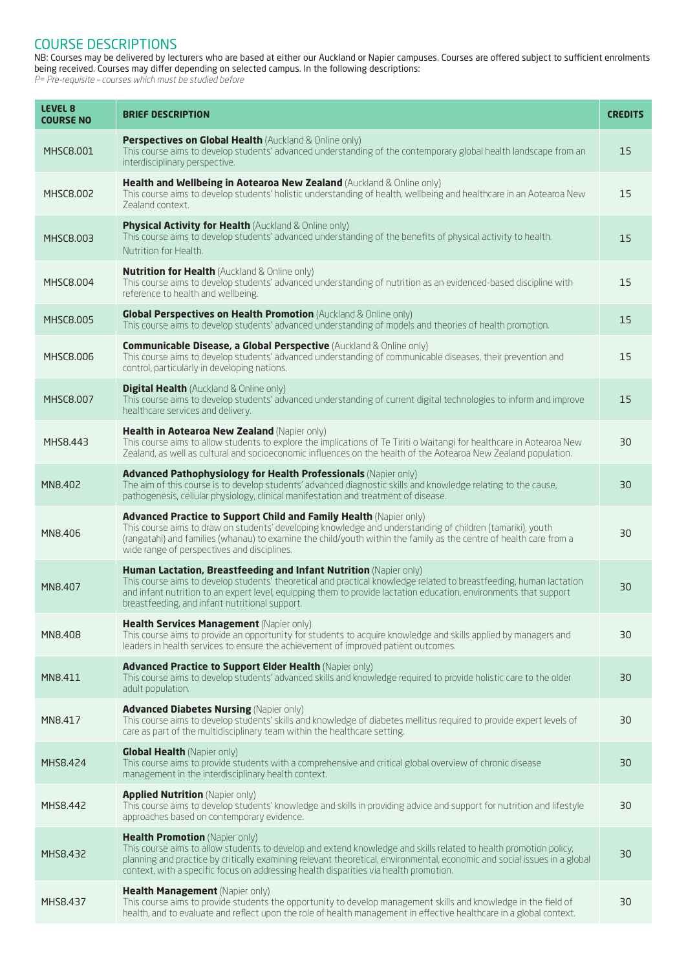#### COURSE DESCRIPTIONS

NB: Courses may be delivered by lecturers who are based at either our Auckland or Napier campuses. Courses are offered subject to sufficient enrolments being received. Courses may differ depending on selected campus. In the following descriptions:

P= Pre-requisite – courses which must be studied before

| LEVEL <sub>8</sub><br><b>COURSE NO</b> | <b>BRIEF DESCRIPTION</b>                                                                                                                                                                                                                                                                                                                                                  | <b>CREDITS</b> |
|----------------------------------------|---------------------------------------------------------------------------------------------------------------------------------------------------------------------------------------------------------------------------------------------------------------------------------------------------------------------------------------------------------------------------|----------------|
| <b>MHSC8.001</b>                       | <b>Perspectives on Global Health (Auckland &amp; Online only)</b><br>This course aims to develop students' advanced understanding of the contemporary global health landscape from an<br>interdisciplinary perspective.                                                                                                                                                   | 15             |
| <b>MHSC8.002</b>                       | Health and Wellbeing in Aotearoa New Zealand (Auckland & Online only)<br>This course aims to develop students' holistic understanding of health, wellbeing and healthcare in an Aotearoa New<br>Zealand context.                                                                                                                                                          | 15             |
| MHSC8.003                              | <b>Physical Activity for Health</b> (Auckland & Online only)<br>This course aims to develop students' advanced understanding of the benefits of physical activity to health.<br>Nutrition for Health.                                                                                                                                                                     | 15             |
| <b>MHSC8.004</b>                       | <b>Nutrition for Health (Auckland &amp; Online only)</b><br>This course aims to develop students' advanced understanding of nutrition as an evidenced-based discipline with<br>reference to health and wellbeing.                                                                                                                                                         | 15             |
| <b>MHSC8.005</b>                       | Global Perspectives on Health Promotion (Auckland & Online only)<br>This course aims to develop students' advanced understanding of models and theories of health promotion.                                                                                                                                                                                              | 15             |
| <b>MHSC8.006</b>                       | <b>Communicable Disease, a Global Perspective</b> (Auckland & Online only)<br>This course aims to develop students' advanced understanding of communicable diseases, their prevention and<br>control, particularly in developing nations.                                                                                                                                 | 15             |
| <b>MHSC8.007</b>                       | <b>Digital Health</b> (Auckland & Online only)<br>This course aims to develop students' advanced understanding of current digital technologies to inform and improve<br>healthcare services and delivery.                                                                                                                                                                 | 15             |
| MHS8.443                               | Health in Aotearoa New Zealand (Napier only)<br>This course aims to allow students to explore the implications of Te Tiriti o Waitangi for healthcare in Aotearoa New<br>Zealand, as well as cultural and socioeconomic influences on the health of the Aotearoa New Zealand population.                                                                                  | 30             |
| MN8.402                                | Advanced Pathophysiology for Health Professionals (Napier only)<br>The aim of this course is to develop students' advanced diagnostic skills and knowledge relating to the cause,<br>pathogenesis, cellular physiology, clinical manifestation and treatment of disease.                                                                                                  | 30             |
| MN8.406                                | <b>Advanced Practice to Support Child and Family Health (Napier only)</b><br>This course aims to draw on students' developing knowledge and understanding of children (tamariki), youth<br>(rangatahi) and families (whanau) to examine the child/youth within the family as the centre of health care from a<br>wide range of perspectives and disciplines.              | 30             |
| MN8.407                                | Human Lactation, Breastfeeding and Infant Nutrition (Napier only)<br>This course aims to develop students' theoretical and practical knowledge related to breastfeeding, human lactation<br>and infant nutrition to an expert level, equipping them to provide lactation education, environments that support<br>breastfeeding, and infant nutritional support.           | 30             |
| MN8.408                                | Health Services Management (Napier only)<br>This course aims to provide an opportunity for students to acquire knowledge and skills applied by managers and<br>leaders in health services to ensure the achievement of improved patient outcomes.                                                                                                                         | 30             |
| MN8.411                                | Advanced Practice to Support Elder Health (Napier only)<br>This course aims to develop students' advanced skills and knowledge required to provide holistic care to the older<br>adult population.                                                                                                                                                                        | 30             |
| MN8.417                                | <b>Advanced Diabetes Nursing (Napier only)</b><br>This course aims to develop students' skills and knowledge of diabetes mellitus required to provide expert levels of<br>care as part of the multidisciplinary team within the healthcare setting.                                                                                                                       | 30             |
| MHS8.424                               | <b>Global Health (Napier only)</b><br>This course aims to provide students with a comprehensive and critical global overview of chronic disease<br>management in the interdisciplinary health context.                                                                                                                                                                    | 30             |
| MHS8.442                               | <b>Applied Nutrition (Napier only)</b><br>This course aims to develop students' knowledge and skills in providing advice and support for nutrition and lifestyle<br>approaches based on contemporary evidence.                                                                                                                                                            | 30             |
| MHS8.432                               | Health Promotion (Napier only)<br>This course aims to allow students to develop and extend knowledge and skills related to health promotion policy,<br>planning and practice by critically examining relevant theoretical, environmental, economic and social issues in a global<br>context, with a specific focus on addressing health disparities via health promotion. | 30             |
| MHS8.437                               | Health Management (Napier only)<br>This course aims to provide students the opportunity to develop management skills and knowledge in the field of<br>health, and to evaluate and reflect upon the role of health management in effective healthcare in a global context.                                                                                                 | 30             |
|                                        |                                                                                                                                                                                                                                                                                                                                                                           |                |